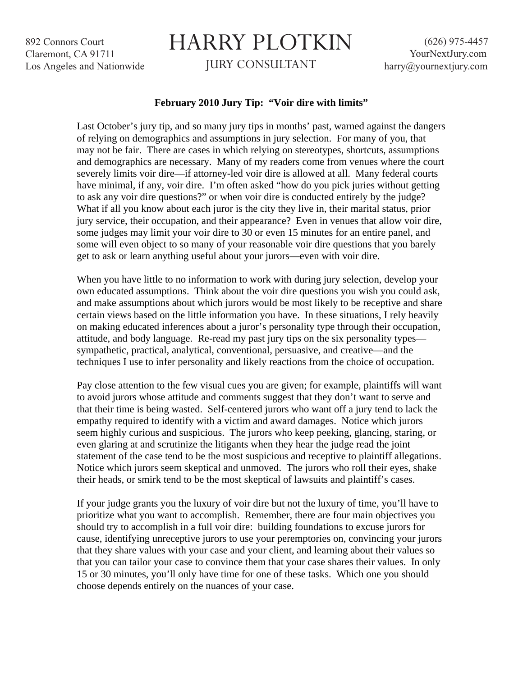892 Connors Court Claremont, CA 91711 Los Angeles and Nationwide

## HARRY PLOTKIN

JURY CONSULTANT

## **February 2010 Jury Tip: "Voir dire with limits"**

Last October's jury tip, and so many jury tips in months' past, warned against the dangers of relying on demographics and assumptions in jury selection. For many of you, that may not be fair. There are cases in which relying on stereotypes, shortcuts, assumptions and demographics are necessary. Many of my readers come from venues where the court severely limits voir dire—if attorney-led voir dire is allowed at all. Many federal courts have minimal, if any, voir dire. I'm often asked "how do you pick juries without getting to ask any voir dire questions?" or when voir dire is conducted entirely by the judge? What if all you know about each juror is the city they live in, their marital status, prior jury service, their occupation, and their appearance? Even in venues that allow voir dire, some judges may limit your voir dire to 30 or even 15 minutes for an entire panel, and some will even object to so many of your reasonable voir dire questions that you barely get to ask or learn anything useful about your jurors—even with voir dire.

When you have little to no information to work with during jury selection, develop your own educated assumptions. Think about the voir dire questions you wish you could ask, and make assumptions about which jurors would be most likely to be receptive and share certain views based on the little information you have. In these situations, I rely heavily on making educated inferences about a juror's personality type through their occupation, attitude, and body language. Re-read my past jury tips on the six personality types sympathetic, practical, analytical, conventional, persuasive, and creative—and the techniques I use to infer personality and likely reactions from the choice of occupation.

Pay close attention to the few visual cues you are given; for example, plaintiffs will want to avoid jurors whose attitude and comments suggest that they don't want to serve and that their time is being wasted. Self-centered jurors who want off a jury tend to lack the empathy required to identify with a victim and award damages. Notice which jurors seem highly curious and suspicious. The jurors who keep peeking, glancing, staring, or even glaring at and scrutinize the litigants when they hear the judge read the joint statement of the case tend to be the most suspicious and receptive to plaintiff allegations. Notice which jurors seem skeptical and unmoved. The jurors who roll their eyes, shake their heads, or smirk tend to be the most skeptical of lawsuits and plaintiff's cases.

If your judge grants you the luxury of voir dire but not the luxury of time, you'll have to prioritize what you want to accomplish. Remember, there are four main objectives you should try to accomplish in a full voir dire: building foundations to excuse jurors for cause, identifying unreceptive jurors to use your peremptories on, convincing your jurors that they share values with your case and your client, and learning about their values so that you can tailor your case to convince them that your case shares their values. In only 15 or 30 minutes, you'll only have time for one of these tasks. Which one you should choose depends entirely on the nuances of your case.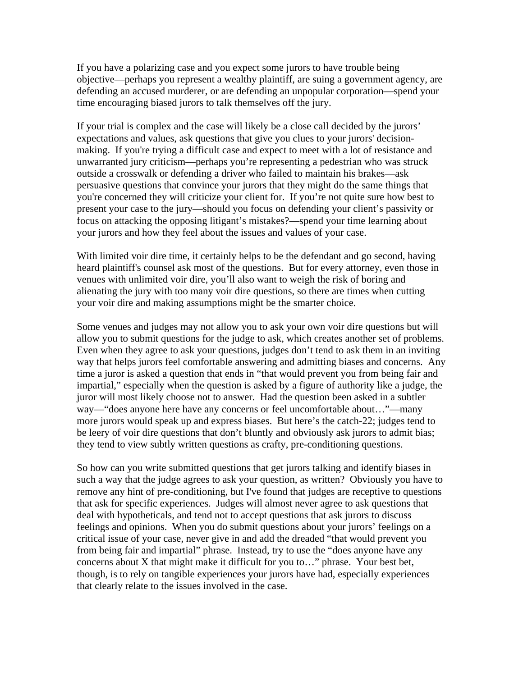If you have a polarizing case and you expect some jurors to have trouble being objective—perhaps you represent a wealthy plaintiff, are suing a government agency, are defending an accused murderer, or are defending an unpopular corporation—spend your time encouraging biased jurors to talk themselves off the jury.

If your trial is complex and the case will likely be a close call decided by the jurors' expectations and values, ask questions that give you clues to your jurors' decisionmaking. If you're trying a difficult case and expect to meet with a lot of resistance and unwarranted jury criticism—perhaps you're representing a pedestrian who was struck outside a crosswalk or defending a driver who failed to maintain his brakes—ask persuasive questions that convince your jurors that they might do the same things that you're concerned they will criticize your client for. If you're not quite sure how best to present your case to the jury—should you focus on defending your client's passivity or focus on attacking the opposing litigant's mistakes?—spend your time learning about your jurors and how they feel about the issues and values of your case.

With limited voir dire time, it certainly helps to be the defendant and go second, having heard plaintiff's counsel ask most of the questions. But for every attorney, even those in venues with unlimited voir dire, you'll also want to weigh the risk of boring and alienating the jury with too many voir dire questions, so there are times when cutting your voir dire and making assumptions might be the smarter choice.

Some venues and judges may not allow you to ask your own voir dire questions but will allow you to submit questions for the judge to ask, which creates another set of problems. Even when they agree to ask your questions, judges don't tend to ask them in an inviting way that helps jurors feel comfortable answering and admitting biases and concerns. Any time a juror is asked a question that ends in "that would prevent you from being fair and impartial," especially when the question is asked by a figure of authority like a judge, the juror will most likely choose not to answer. Had the question been asked in a subtler way—"does anyone here have any concerns or feel uncomfortable about…"—many more jurors would speak up and express biases. But here's the catch-22; judges tend to be leery of voir dire questions that don't bluntly and obviously ask jurors to admit bias; they tend to view subtly written questions as crafty, pre-conditioning questions.

So how can you write submitted questions that get jurors talking and identify biases in such a way that the judge agrees to ask your question, as written? Obviously you have to remove any hint of pre-conditioning, but I've found that judges are receptive to questions that ask for specific experiences. Judges will almost never agree to ask questions that deal with hypotheticals, and tend not to accept questions that ask jurors to discuss feelings and opinions. When you do submit questions about your jurors' feelings on a critical issue of your case, never give in and add the dreaded "that would prevent you from being fair and impartial" phrase. Instead, try to use the "does anyone have any concerns about X that might make it difficult for you to…" phrase. Your best bet, though, is to rely on tangible experiences your jurors have had, especially experiences that clearly relate to the issues involved in the case.